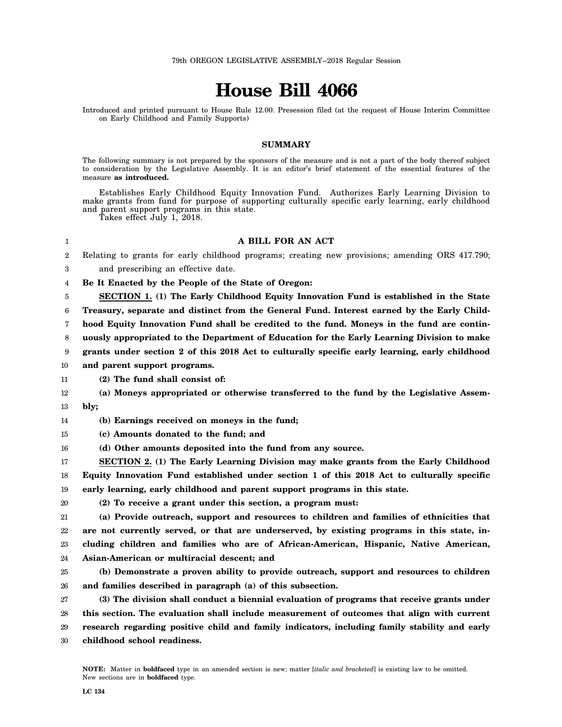## **House Bill 4066**

Introduced and printed pursuant to House Rule 12.00. Presession filed (at the request of House Interim Committee on Early Childhood and Family Supports)

## **SUMMARY**

The following summary is not prepared by the sponsors of the measure and is not a part of the body thereof subject to consideration by the Legislative Assembly. It is an editor's brief statement of the essential features of the measure **as introduced.**

Establishes Early Childhood Equity Innovation Fund. Authorizes Early Learning Division to make grants from fund for purpose of supporting culturally specific early learning, early childhood and parent support programs in this state.

Takes effect July 1, 2018.

## **A BILL FOR AN ACT**

Relating to grants for early childhood programs; creating new provisions; amending ORS 417.790;

1 2

20

3 and prescribing an effective date.

4 **Be It Enacted by the People of the State of Oregon:**

5 **SECTION 1. (1) The Early Childhood Equity Innovation Fund is established in the State**

6 **Treasury, separate and distinct from the General Fund. Interest earned by the Early Child-**

7 **hood Equity Innovation Fund shall be credited to the fund. Moneys in the fund are contin-**

8 **uously appropriated to the Department of Education for the Early Learning Division to make**

9 **grants under section 2 of this 2018 Act to culturally specific early learning, early childhood**

10 **and parent support programs.**

- 11 **(2) The fund shall consist of:**
- 12 13 **(a) Moneys appropriated or otherwise transferred to the fund by the Legislative Assembly;**
- 14 **(b) Earnings received on moneys in the fund;**
- 15 **(c) Amounts donated to the fund; and**
- 16 **(d) Other amounts deposited into the fund from any source.**

17 18 19 **SECTION 2. (1) The Early Learning Division may make grants from the Early Childhood Equity Innovation Fund established under section 1 of this 2018 Act to culturally specific early learning, early childhood and parent support programs in this state.**

**(2) To receive a grant under this section, a program must:**

21 22 23 **(a) Provide outreach, support and resources to children and families of ethnicities that are not currently served, or that are underserved, by existing programs in this state, including children and families who are of African-American, Hispanic, Native American,**

24 **Asian-American or multiracial descent; and**

25 26 **(b) Demonstrate a proven ability to provide outreach, support and resources to children and families described in paragraph (a) of this subsection.**

27 28 29 30 **(3) The division shall conduct a biennial evaluation of programs that receive grants under this section. The evaluation shall include measurement of outcomes that align with current research regarding positive child and family indicators, including family stability and early childhood school readiness.**